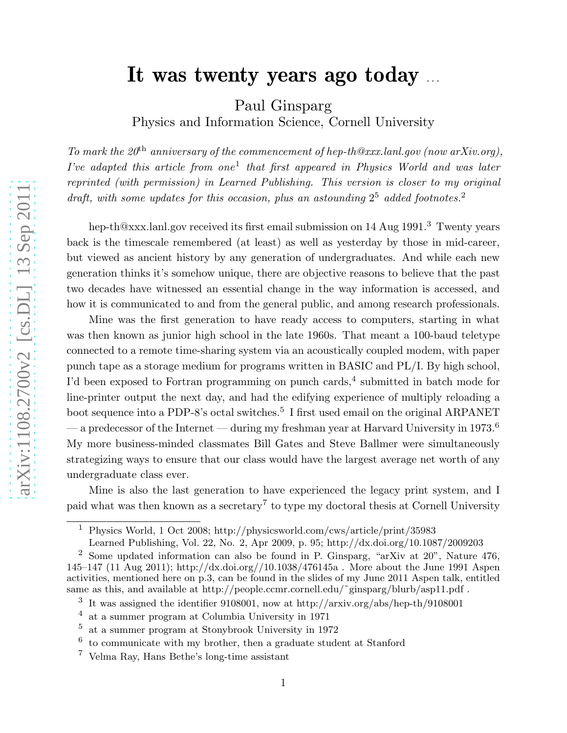## It was twenty years ago today ...

Paul Ginsparg

Physics and Information Science, Cornell University

To mark the  $20<sup>th</sup>$  anniversary of the commencement of hep-th@xxx.lanl.gov (now arXiv.org), I've adapted this article from one<sup>1</sup> that first appeared in Physics World and was later reprinted (with permission) in Learned Publishing. This version is closer to my original draft, with some updates for this occasion, plus an astounding  $2^5$  added footnotes.<sup>2</sup>

hep-th@xxx.lanl.gov received its first email submission on 14 Aug 1991.<sup>3</sup> Twenty years back is the timescale remembered (at least) as well as yesterday by those in mid-career, but viewed as ancient history by any generation of undergraduates. And while each new generation thinks it's somehow unique, there are objective reasons to believe that the past two decades have witnessed an essential change in the way information is accessed, and how it is communicated to and from the general public, and among research professionals.

Mine was the first generation to have ready access to computers, starting in what was then known as junior high school in the late 1960s. That meant a 100-baud teletype connected to a remote time-sharing system via an acoustically coupled modem, with paper punch tape as a storage medium for programs written in BASIC and PL/I. By high school, I'd been exposed to Fortran programming on punch cards, 4 submitted in batch mode for line-printer output the next day, and had the edifying experience of multiply reloading a boot sequence into a PDP-8's octal switches.<sup>5</sup> I first used email on the original ARPANET — a predecessor of the Internet — during my freshman year at Harvard University in 1973.<sup>6</sup> My more business-minded classmates Bill Gates and Steve Ballmer were simultaneously strategizing ways to ensure that our class would have the largest average net worth of any undergraduate class ever.

Mine is also the last generation to have experienced the legacy print system, and I paid what was then known as a secretary 7 to type my doctoral thesis at Cornell University

<sup>1</sup> Physics World, 1 Oct 2008; http://physicsworld.com/cws/article/print/35983

Learned Publishing, Vol. 22, No. 2, Apr 2009, p. 95; http://dx.doi.org/10.1087/2009203

<sup>&</sup>lt;sup>2</sup> Some updated information can also be found in P. Ginsparg, "arXiv at  $20$ ", Nature  $476$ , 145–147 (11 Aug 2011); http://dx.doi.org//10.1038/476145a . More about the June 1991 Aspen activities, mentioned here on p.3, can be found in the slides of my June 2011 Aspen talk, entitled same as this, and available at http://people.ccmr.cornell.edu/~ginsparg/blurb/asp11.pdf.

<sup>3</sup> It was assigned the identifier 9108001, now at http://arxiv.org/abs/hep-th/9108001

<sup>4</sup> at a summer program at Columbia University in 1971

<sup>5</sup> at a summer program at Stonybrook University in 1972

<sup>6</sup> to communicate with my brother, then a graduate student at Stanford

<sup>7</sup> Velma Ray, Hans Bethe's long-time assistant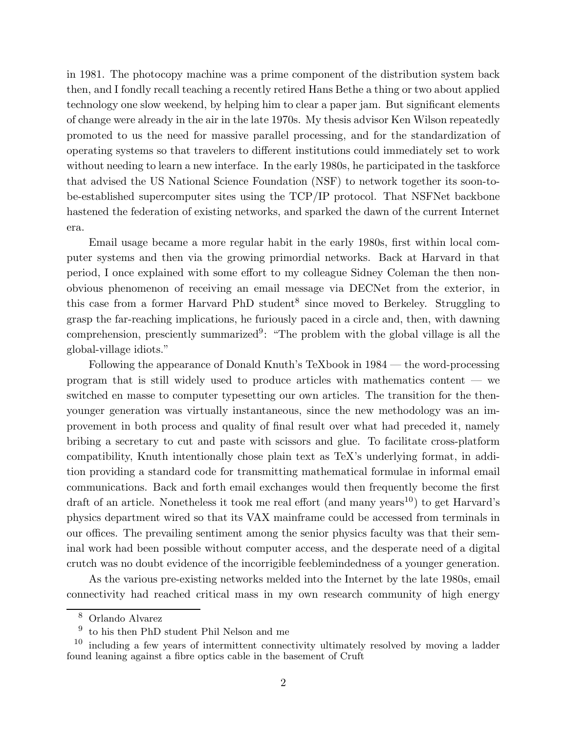in 1981. The photocopy machine was a prime component of the distribution system back then, and I fondly recall teaching a recently retired Hans Bethe a thing or two about applied technology one slow weekend, by helping him to clear a paper jam. But significant elements of change were already in the air in the late 1970s. My thesis advisor Ken Wilson repeatedly promoted to us the need for massive parallel processing, and for the standardization of operating systems so that travelers to different institutions could immediately set to work without needing to learn a new interface. In the early 1980s, he participated in the taskforce that advised the US National Science Foundation (NSF) to network together its soon-tobe-established supercomputer sites using the TCP/IP protocol. That NSFNet backbone hastened the federation of existing networks, and sparked the dawn of the current Internet era.

Email usage became a more regular habit in the early 1980s, first within local computer systems and then via the growing primordial networks. Back at Harvard in that period, I once explained with some effort to my colleague Sidney Coleman the then nonobvious phenomenon of receiving an email message via DECNet from the exterior, in this case from a former Harvard PhD student<sup>8</sup> since moved to Berkeley. Struggling to grasp the far-reaching implications, he furiously paced in a circle and, then, with dawning comprehension, presciently summarized<sup>9</sup>: "The problem with the global village is all the global-village idiots."

Following the appearance of Donald Knuth's TeXbook in 1984 — the word-processing program that is still widely used to produce articles with mathematics content — we switched en masse to computer typesetting our own articles. The transition for the thenyounger generation was virtually instantaneous, since the new methodology was an improvement in both process and quality of final result over what had preceded it, namely bribing a secretary to cut and paste with scissors and glue. To facilitate cross-platform compatibility, Knuth intentionally chose plain text as TeX's underlying format, in addition providing a standard code for transmitting mathematical formulae in informal email communications. Back and forth email exchanges would then frequently become the first draft of an article. Nonetheless it took me real effort (and many years<sup>10</sup>) to get Harvard's physics department wired so that its VAX mainframe could be accessed from terminals in our offices. The prevailing sentiment among the senior physics faculty was that their seminal work had been possible without computer access, and the desperate need of a digital crutch was no doubt evidence of the incorrigible feeblemindedness of a younger generation.

As the various pre-existing networks melded into the Internet by the late 1980s, email connectivity had reached critical mass in my own research community of high energy

<sup>8</sup> Orlando Alvarez

<sup>9</sup> to his then PhD student Phil Nelson and me

<sup>10</sup> including a few years of intermittent connectivity ultimately resolved by moving a ladder found leaning against a fibre optics cable in the basement of Cruft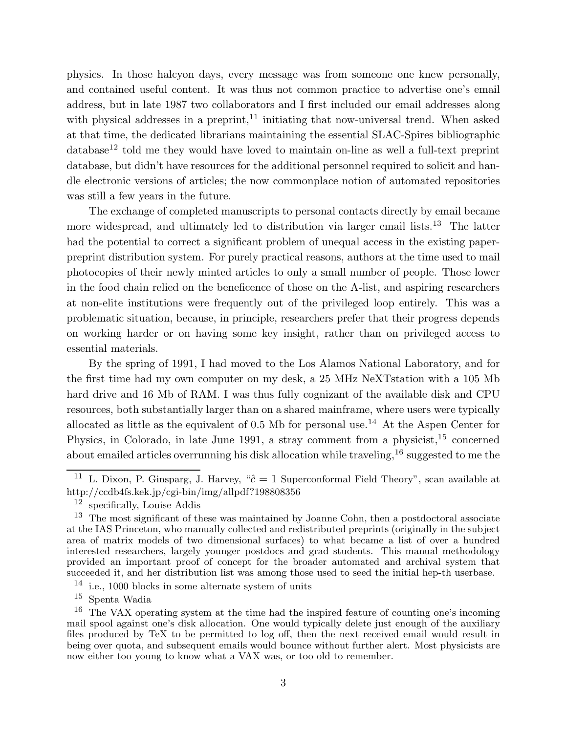physics. In those halcyon days, every message was from someone one knew personally, and contained useful content. It was thus not common practice to advertise one's email address, but in late 1987 two collaborators and I first included our email addresses along with physical addresses in a preprint,  $11$  initiating that now-universal trend. When asked at that time, the dedicated librarians maintaining the essential SLAC-Spires bibliographic  $database^{12}$  told me they would have loved to maintain on-line as well a full-text preprint database, but didn't have resources for the additional personnel required to solicit and handle electronic versions of articles; the now commonplace notion of automated repositories was still a few years in the future.

The exchange of completed manuscripts to personal contacts directly by email became more widespread, and ultimately led to distribution via larger email lists.<sup>13</sup> The latter had the potential to correct a significant problem of unequal access in the existing paperpreprint distribution system. For purely practical reasons, authors at the time used to mail photocopies of their newly minted articles to only a small number of people. Those lower in the food chain relied on the beneficence of those on the A-list, and aspiring researchers at non-elite institutions were frequently out of the privileged loop entirely. This was a problematic situation, because, in principle, researchers prefer that their progress depends on working harder or on having some key insight, rather than on privileged access to essential materials.

By the spring of 1991, I had moved to the Los Alamos National Laboratory, and for the first time had my own computer on my desk, a 25 MHz NeXTstation with a 105 Mb hard drive and 16 Mb of RAM. I was thus fully cognizant of the available disk and CPU resources, both substantially larger than on a shared mainframe, where users were typically allocated as little as the equivalent of 0.5 Mb for personal use.<sup>14</sup> At the Aspen Center for Physics, in Colorado, in late June 1991, a stray comment from a physicist,<sup>15</sup> concerned about emailed articles overrunning his disk allocation while traveling,  $16$  suggested to me the

<sup>&</sup>lt;sup>11</sup> L. Dixon, P. Ginsparg, J. Harvey, " $\hat{c} = 1$  Superconformal Field Theory", scan available at http://ccdb4fs.kek.jp/cgi-bin/img/allpdf?198808356

<sup>12</sup> specifically, Louise Addis

<sup>&</sup>lt;sup>13</sup> The most significant of these was maintained by Joanne Cohn, then a postdoctoral associate at the IAS Princeton, who manually collected and redistributed preprints (originally in the subject area of matrix models of two dimensional surfaces) to what became a list of over a hundred interested researchers, largely younger postdocs and grad students. This manual methodology provided an important proof of concept for the broader automated and archival system that succeeded it, and her distribution list was among those used to seed the initial hep-th userbase.

 $14$  i.e., 1000 blocks in some alternate system of units

<sup>15</sup> Spenta Wadia

<sup>&</sup>lt;sup>16</sup> The VAX operating system at the time had the inspired feature of counting one's incoming mail spool against one's disk allocation. One would typically delete just enough of the auxiliary files produced by TeX to be permitted to log off, then the next received email would result in being over quota, and subsequent emails would bounce without further alert. Most physicists are now either too young to know what a VAX was, or too old to remember.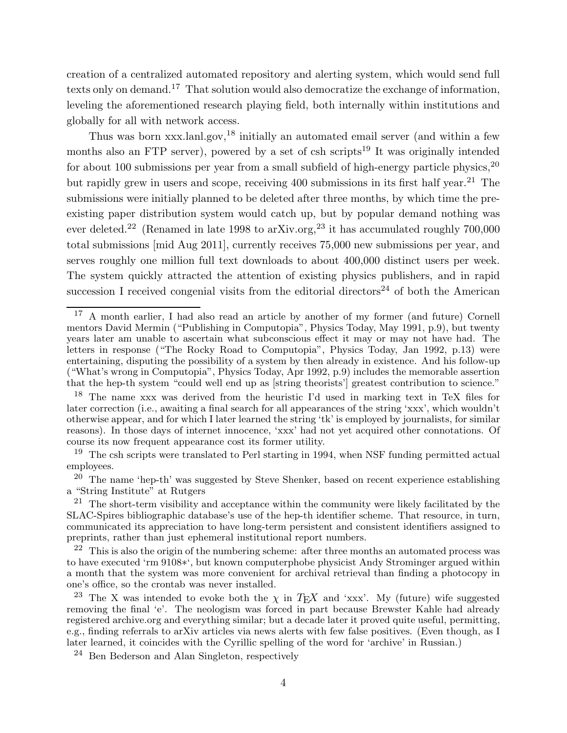creation of a centralized automated repository and alerting system, which would send full texts only on demand.<sup>17</sup> That solution would also democratize the exchange of information, leveling the aforementioned research playing field, both internally within institutions and globally for all with network access.

Thus was born xxx.lanl.gov,<sup>18</sup> initially an automated email server (and within a few months also an FTP server), powered by a set of csh scripts<sup>19</sup> It was originally intended for about 100 submissions per year from a small subfield of high-energy particle physics,  $20$ but rapidly grew in users and scope, receiving  $400$  submissions in its first half year.<sup>21</sup> The submissions were initially planned to be deleted after three months, by which time the preexisting paper distribution system would catch up, but by popular demand nothing was ever deleted.<sup>22</sup> (Renamed in late 1998 to arXiv.org,<sup>23</sup> it has accumulated roughly  $700,000$ total submissions [mid Aug 2011], currently receives 75,000 new submissions per year, and serves roughly one million full text downloads to about 400,000 distinct users per week. The system quickly attracted the attention of existing physics publishers, and in rapid succession I received congenial visits from the editorial directors<sup>24</sup> of both the American

<sup>&</sup>lt;sup>17</sup> A month earlier, I had also read an article by another of my former (and future) Cornell mentors David Mermin ("Publishing in Computopia", Physics Today, May 1991, p.9), but twenty years later am unable to ascertain what subconscious effect it may or may not have had. The letters in response ("The Rocky Road to Computopia", Physics Today, Jan 1992, p.13) were entertaining, disputing the possibility of a system by then already in existence. And his follow-up ("What's wrong in Computopia", Physics Today, Apr 1992, p.9) includes the memorable assertion that the hep-th system "could well end up as [string theorists'] greatest contribution to science."

<sup>18</sup> The name xxx was derived from the heuristic I'd used in marking text in TeX files for later correction (i.e., awaiting a final search for all appearances of the string 'xxx', which wouldn't otherwise appear, and for which I later learned the string 'tk' is employed by journalists, for similar reasons). In those days of internet innocence, 'xxx' had not yet acquired other connotations. Of course its now frequent appearance cost its former utility.

 $19$  The csh scripts were translated to Perl starting in 1994, when NSF funding permitted actual employees.

 $20$  The name 'hep-th' was suggested by Steve Shenker, based on recent experience establishing a "String Institute" at Rutgers

 $21$  The short-term visibility and acceptance within the community were likely facilitated by the SLAC-Spires bibliographic database's use of the hep-th identifier scheme. That resource, in turn, communicated its appreciation to have long-term persistent and consistent identifiers assigned to preprints, rather than just ephemeral institutional report numbers.

 $22$  This is also the origin of the numbering scheme: after three months an automated process was to have executed 'rm 9108∗', but known computerphobe physicist Andy Strominger argued within a month that the system was more convenient for archival retrieval than finding a photocopy in one's office, so the crontab was never installed.

<sup>&</sup>lt;sup>23</sup> The X was intended to evoke both the  $\chi$  in T<sub>E</sub>X and 'xxx'. My (future) wife suggested removing the final 'e'. The neologism was forced in part because Brewster Kahle had already registered archive.org and everything similar; but a decade later it proved quite useful, permitting, e.g., finding referrals to arXiv articles via news alerts with few false positives. (Even though, as I later learned, it coincides with the Cyrillic spelling of the word for 'archive' in Russian.)

 $^{24}$  Ben Bederson and Alan Singleton, respectively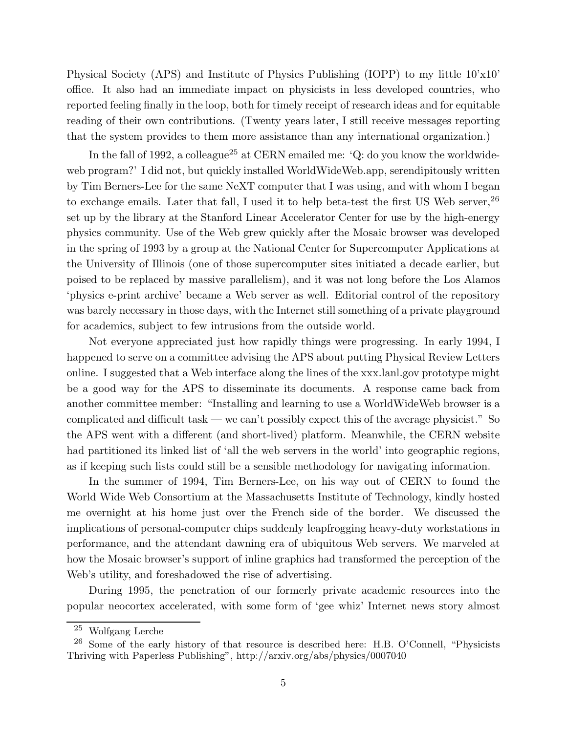Physical Society (APS) and Institute of Physics Publishing (IOPP) to my little 10'x10' office. It also had an immediate impact on physicists in less developed countries, who reported feeling finally in the loop, both for timely receipt of research ideas and for equitable reading of their own contributions. (Twenty years later, I still receive messages reporting that the system provides to them more assistance than any international organization.)

In the fall of 1992, a colleague<sup>25</sup> at CERN emailed me:  $^{\circ}Q$ : do you know the worldwideweb program?' I did not, but quickly installed WorldWideWeb.app, serendipitously written by Tim Berners-Lee for the same NeXT computer that I was using, and with whom I began to exchange emails. Later that fall, I used it to help beta-test the first US Web server,  $26$ set up by the library at the Stanford Linear Accelerator Center for use by the high-energy physics community. Use of the Web grew quickly after the Mosaic browser was developed in the spring of 1993 by a group at the National Center for Supercomputer Applications at the University of Illinois (one of those supercomputer sites initiated a decade earlier, but poised to be replaced by massive parallelism), and it was not long before the Los Alamos 'physics e-print archive' became a Web server as well. Editorial control of the repository was barely necessary in those days, with the Internet still something of a private playground for academics, subject to few intrusions from the outside world.

Not everyone appreciated just how rapidly things were progressing. In early 1994, I happened to serve on a committee advising the APS about putting Physical Review Letters online. I suggested that a Web interface along the lines of the xxx.lanl.gov prototype might be a good way for the APS to disseminate its documents. A response came back from another committee member: "Installing and learning to use a WorldWideWeb browser is a complicated and difficult task — we can't possibly expect this of the average physicist." So the APS went with a different (and short-lived) platform. Meanwhile, the CERN website had partitioned its linked list of 'all the web servers in the world' into geographic regions, as if keeping such lists could still be a sensible methodology for navigating information.

In the summer of 1994, Tim Berners-Lee, on his way out of CERN to found the World Wide Web Consortium at the Massachusetts Institute of Technology, kindly hosted me overnight at his home just over the French side of the border. We discussed the implications of personal-computer chips suddenly leapfrogging heavy-duty workstations in performance, and the attendant dawning era of ubiquitous Web servers. We marveled at how the Mosaic browser's support of inline graphics had transformed the perception of the Web's utility, and foreshadowed the rise of advertising.

During 1995, the penetration of our formerly private academic resources into the popular neocortex accelerated, with some form of 'gee whiz' Internet news story almost

<sup>25</sup> Wolfgang Lerche

 $26$  Some of the early history of that resource is described here: H.B. O'Connell, "Physicists" Thriving with Paperless Publishing", http://arxiv.org/abs/physics/0007040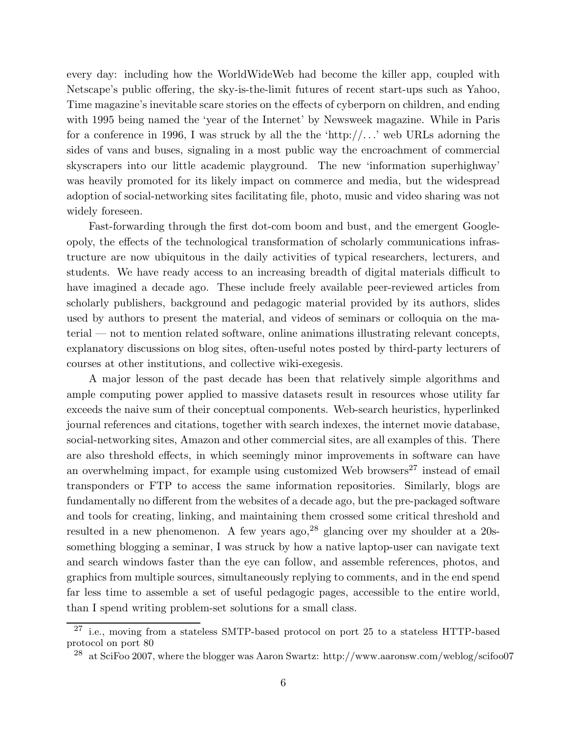every day: including how the WorldWideWeb had become the killer app, coupled with Netscape's public offering, the sky-is-the-limit futures of recent start-ups such as Yahoo, Time magazine's inevitable scare stories on the effects of cyberporn on children, and ending with 1995 being named the 'year of the Internet' by Newsweek magazine. While in Paris for a conference in 1996, I was struck by all the the 'http://...' web URLs adorning the sides of vans and buses, signaling in a most public way the encroachment of commercial skyscrapers into our little academic playground. The new 'information superhighway' was heavily promoted for its likely impact on commerce and media, but the widespread adoption of social-networking sites facilitating file, photo, music and video sharing was not widely foreseen.

Fast-forwarding through the first dot-com boom and bust, and the emergent Googleopoly, the effects of the technological transformation of scholarly communications infrastructure are now ubiquitous in the daily activities of typical researchers, lecturers, and students. We have ready access to an increasing breadth of digital materials difficult to have imagined a decade ago. These include freely available peer-reviewed articles from scholarly publishers, background and pedagogic material provided by its authors, slides used by authors to present the material, and videos of seminars or colloquia on the material — not to mention related software, online animations illustrating relevant concepts, explanatory discussions on blog sites, often-useful notes posted by third-party lecturers of courses at other institutions, and collective wiki-exegesis.

A major lesson of the past decade has been that relatively simple algorithms and ample computing power applied to massive datasets result in resources whose utility far exceeds the naive sum of their conceptual components. Web-search heuristics, hyperlinked journal references and citations, together with search indexes, the internet movie database, social-networking sites, Amazon and other commercial sites, are all examples of this. There are also threshold effects, in which seemingly minor improvements in software can have an overwhelming impact, for example using customized Web browsers $^{27}$  instead of email transponders or FTP to access the same information repositories. Similarly, blogs are fundamentally no different from the websites of a decade ago, but the pre-packaged software and tools for creating, linking, and maintaining them crossed some critical threshold and resulted in a new phenomenon. A few years ago,  $^{28}$  glancing over my shoulder at a 20ssomething blogging a seminar, I was struck by how a native laptop-user can navigate text and search windows faster than the eye can follow, and assemble references, photos, and graphics from multiple sources, simultaneously replying to comments, and in the end spend far less time to assemble a set of useful pedagogic pages, accessible to the entire world, than I spend writing problem-set solutions for a small class.

 $27$  i.e., moving from a stateless SMTP-based protocol on port 25 to a stateless HTTP-based protocol on port 80

<sup>&</sup>lt;sup>28</sup> at SciFoo 2007, where the blogger was Aaron Swartz: http://www.aaronsw.com/weblog/scifoo07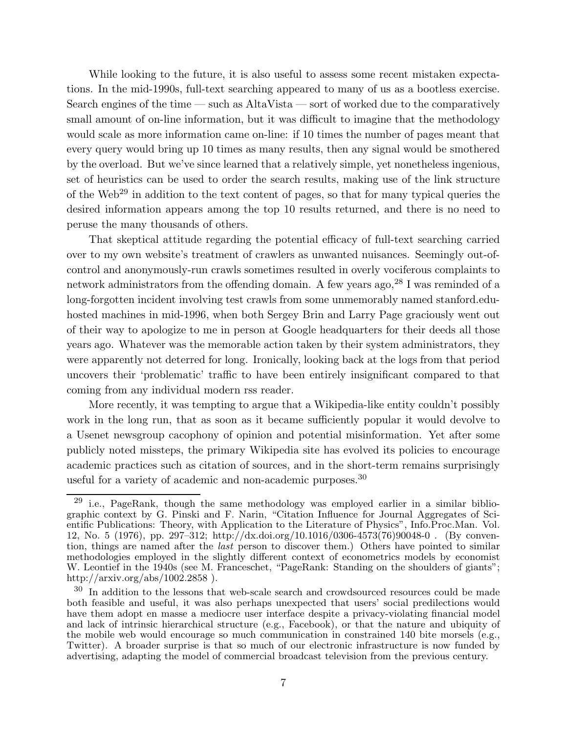While looking to the future, it is also useful to assess some recent mistaken expectations. In the mid-1990s, full-text searching appeared to many of us as a bootless exercise. Search engines of the time — such as AltaVista — sort of worked due to the comparatively small amount of on-line information, but it was difficult to imagine that the methodology would scale as more information came on-line: if 10 times the number of pages meant that every query would bring up 10 times as many results, then any signal would be smothered by the overload. But we've since learned that a relatively simple, yet nonetheless ingenious, set of heuristics can be used to order the search results, making use of the link structure of the Web<sup>29</sup> in addition to the text content of pages, so that for many typical queries the desired information appears among the top 10 results returned, and there is no need to peruse the many thousands of others.

That skeptical attitude regarding the potential efficacy of full-text searching carried over to my own website's treatment of crawlers as unwanted nuisances. Seemingly out-ofcontrol and anonymously-run crawls sometimes resulted in overly vociferous complaints to network administrators from the offending domain. A few years ago,  $28$  I was reminded of a long-forgotten incident involving test crawls from some unmemorably named stanford.eduhosted machines in mid-1996, when both Sergey Brin and Larry Page graciously went out of their way to apologize to me in person at Google headquarters for their deeds all those years ago. Whatever was the memorable action taken by their system administrators, they were apparently not deterred for long. Ironically, looking back at the logs from that period uncovers their 'problematic' traffic to have been entirely insignificant compared to that coming from any individual modern rss reader.

More recently, it was tempting to argue that a Wikipedia-like entity couldn't possibly work in the long run, that as soon as it became sufficiently popular it would devolve to a Usenet newsgroup cacophony of opinion and potential misinformation. Yet after some publicly noted missteps, the primary Wikipedia site has evolved its policies to encourage academic practices such as citation of sources, and in the short-term remains surprisingly useful for a variety of academic and non-academic purposes.<sup>30</sup>

 $29$  i.e., PageRank, though the same methodology was employed earlier in a similar bibliographic context by G. Pinski and F. Narin, "Citation Influence for Journal Aggregates of Scientific Publications: Theory, with Application to the Literature of Physics", Info.Proc.Man. Vol. 12, No. 5 (1976), pp. 297–312; http://dx.doi.org/10.1016/0306-4573(76)90048-0 . (By convention, things are named after the last person to discover them.) Others have pointed to similar methodologies employed in the slightly different context of econometrics models by economist W. Leontief in the 1940s (see M. Franceschet, "PageRank: Standing on the shoulders of giants"; http://arxiv.org/abs/1002.2858 ).

<sup>&</sup>lt;sup>30</sup> In addition to the lessons that web-scale search and crowdsourced resources could be made both feasible and useful, it was also perhaps unexpected that users' social predilections would have them adopt en masse a mediocre user interface despite a privacy-violating financial model and lack of intrinsic hierarchical structure (e.g., Facebook), or that the nature and ubiquity of the mobile web would encourage so much communication in constrained 140 bite morsels (e.g., Twitter). A broader surprise is that so much of our electronic infrastructure is now funded by advertising, adapting the model of commercial broadcast television from the previous century.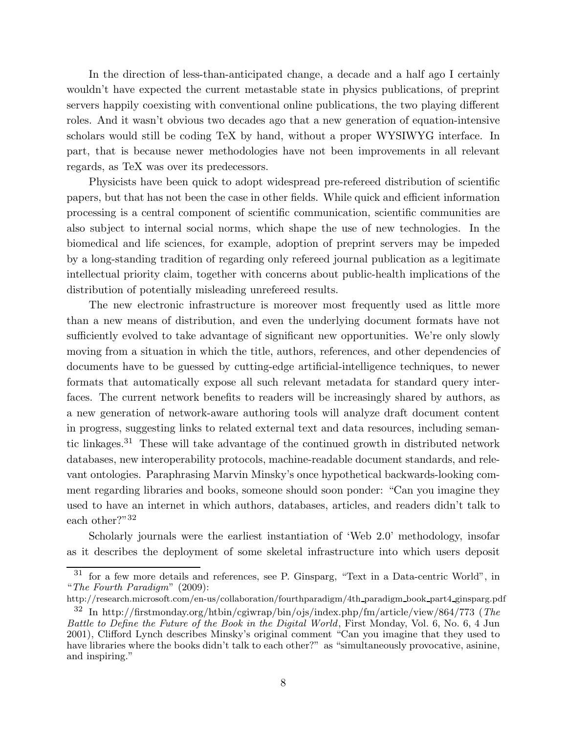In the direction of less-than-anticipated change, a decade and a half ago I certainly wouldn't have expected the current metastable state in physics publications, of preprint servers happily coexisting with conventional online publications, the two playing different roles. And it wasn't obvious two decades ago that a new generation of equation-intensive scholars would still be coding TeX by hand, without a proper WYSIWYG interface. In part, that is because newer methodologies have not been improvements in all relevant regards, as TeX was over its predecessors.

Physicists have been quick to adopt widespread pre-refereed distribution of scientific papers, but that has not been the case in other fields. While quick and efficient information processing is a central component of scientific communication, scientific communities are also subject to internal social norms, which shape the use of new technologies. In the biomedical and life sciences, for example, adoption of preprint servers may be impeded by a long-standing tradition of regarding only refereed journal publication as a legitimate intellectual priority claim, together with concerns about public-health implications of the distribution of potentially misleading unrefereed results.

The new electronic infrastructure is moreover most frequently used as little more than a new means of distribution, and even the underlying document formats have not sufficiently evolved to take advantage of significant new opportunities. We're only slowly moving from a situation in which the title, authors, references, and other dependencies of documents have to be guessed by cutting-edge artificial-intelligence techniques, to newer formats that automatically expose all such relevant metadata for standard query interfaces. The current network benefits to readers will be increasingly shared by authors, as a new generation of network-aware authoring tools will analyze draft document content in progress, suggesting links to related external text and data resources, including semantic linkages.<sup>31</sup> These will take advantage of the continued growth in distributed network databases, new interoperability protocols, machine-readable document standards, and relevant ontologies. Paraphrasing Marvin Minsky's once hypothetical backwards-looking comment regarding libraries and books, someone should soon ponder: "Can you imagine they used to have an internet in which authors, databases, articles, and readers didn't talk to each other?"<sup>32</sup>

Scholarly journals were the earliest instantiation of 'Web 2.0' methodology, insofar as it describes the deployment of some skeletal infrastructure into which users deposit

<sup>31</sup> for a few more details and references, see P. Ginsparg, "Text in a Data-centric World", in "The Fourth Paradigm" (2009):

http://research.microsoft.com/en-us/collaboration/fourthparadigm/4th paradigm book part4 ginsparg.pdf

<sup>32</sup> In http://firstmonday.org/htbin/cgiwrap/bin/ojs/index.php/fm/article/view/864/773 (The Battle to Define the Future of the Book in the Digital World, First Monday, Vol. 6, No. 6, 4 Jun 2001), Clifford Lynch describes Minsky's original comment "Can you imagine that they used to have libraries where the books didn't talk to each other?" as "simultaneously provocative, asinine, and inspiring."